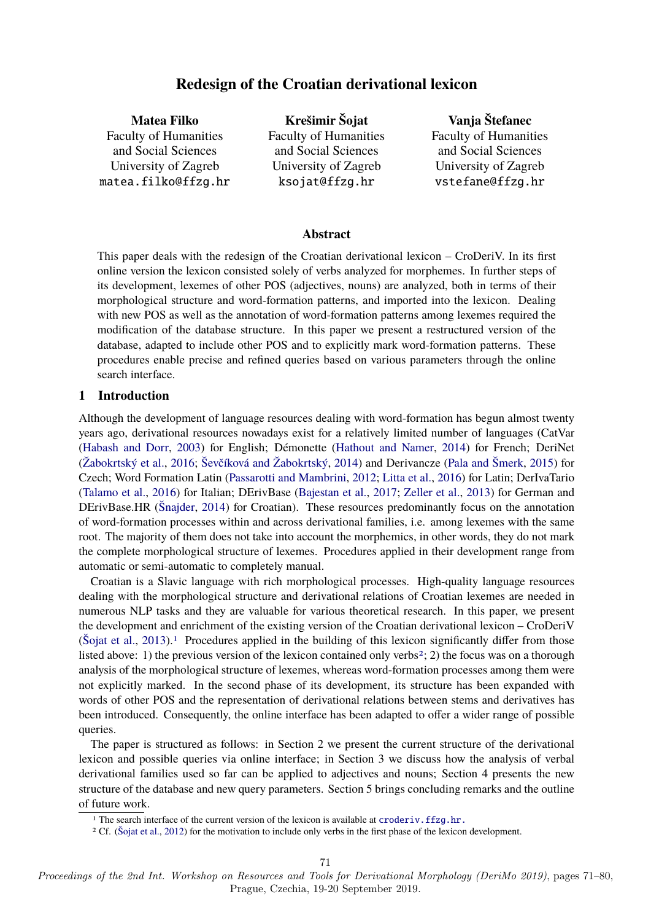# **Redesign of the Croatian derivational lexicon**

**Matea Filko** Faculty of Humanities and Social Sciences University of Zagreb matea.filko@ffzg.hr

**Krešimir Šojat** Faculty of Humanities and Social Sciences University of Zagreb ksojat@ffzg.hr

**Vanja Štefanec** Faculty of Humanities and Social Sciences University of Zagreb vstefane@ffzg.hr

#### **Abstract**

This paper deals with the redesign of the Croatian derivational lexicon – CroDeriV. In its first online version the lexicon consisted solely of verbs analyzed for morphemes. In further steps of its development, lexemes of other POS (adjectives, nouns) are analyzed, both in terms of their morphological structure and word-formation patterns, and imported into the lexicon. Dealing with new POS as well as the annotation of word-formation patterns among lexemes required the modification of the database structure. In this paper we present a restructured version of the database, adapted to include other POS and to explicitly mark word-formation patterns. These procedures enable precise and refined queries based on various parameters through the online search interface.

#### **1 Introduction**

Although the development of language resources dealing with word-formation has begun almost twenty years ago, derivational resources nowadays exist for a relatively limited number of languages (CatVar [\(Habash and Dorr,](#page-8-0) [2003\)](#page-8-0) for English; Démonette [\(Hathout and Namer,](#page-8-1) [2014\)](#page-8-1) for French; DeriNet [\(Žabokrtský et al.,](#page-9-0) [2016;](#page-9-0) [Ševčíková and Žabokrtský,](#page-9-1) [2014\)](#page-9-1) and Derivancze [\(Pala and Šmerk,](#page-8-2) [2015\)](#page-8-2) for Czech; Word Formation Latin [\(Passarotti and Mambrini,](#page-8-3) [2012;](#page-8-3) [Litta et al.,](#page-8-4) [2016\)](#page-8-4) for Latin; DerIvaTario [\(Talamo et al.,](#page-8-5) [2016\)](#page-8-5) for Italian; DErivBase [\(Bajestan et al.,](#page-8-6) [2017;](#page-8-6) [Zeller et al.,](#page-9-2) [2013\)](#page-9-2) for German and DErivBase.HR [\(Šnajder,](#page-9-3) [2014\)](#page-9-3) for Croatian). These resources predominantly focus on the annotation of word-formation processes within and across derivational families, i.e. among lexemes with the same root. The majority of them does not take into account the morphemics, in other words, they do not mark the complete morphological structure of lexemes. Procedures applied in their development range from automatic or semi-automatic to completely manual.

Croatian is a Slavic language with rich morphological processes. High-quality language resources dealing with the morphological structure and derivational relations of Croatian lexemes are needed in numerous NLP tasks and they are valuable for various theoretical research. In this paper, we present the development and enrichment of the existing version of the Croatian derivational lexicon – CroDeriV  $(S$ ojat et al., [2013\)](#page-9-4).<sup>[1](#page-0-0)</sup> Procedures applied in the building of this lexicon significantly differ from those listed above: 1) the previous version of the lexicon contained only verbs<sup>[2](#page-0-1)</sup>; 2) the focus was on a thorough analysis of the morphological structure of lexemes, whereas word-formation processes among them were not explicitly marked. In the second phase of its development, its structure has been expanded with words of other POS and the representation of derivational relations between stems and derivatives has been introduced. Consequently, the online interface has been adapted to offer a wider range of possible queries.

The paper is structured as follows: in Section 2 we present the current structure of the derivational lexicon and possible queries via online interface; in Section 3 we discuss how the analysis of verbal derivational families used so far can be applied to adjectives and nouns; Section 4 presents the new structure of the database and new query parameters. Section 5 brings concluding remarks and the outline of future work.

Proceedings of the 2nd Int. Workshop on Resources and Tools for Derivational Morphology (DeriMo 2019), pages 71–80, Prague, Czechia, 19-20 September 2019.

<span id="page-0-0"></span><sup>&</sup>lt;sup>1</sup> The search interface of the current version of the lexicon is available at croderiv. ffzg.hr.

<span id="page-0-1"></span><sup>2</sup> Cf. [\(Šojat et al.,](#page-9-5) [2012\)](#page-9-5) for the motivation to include only verbs in the first phase of the lexicon development.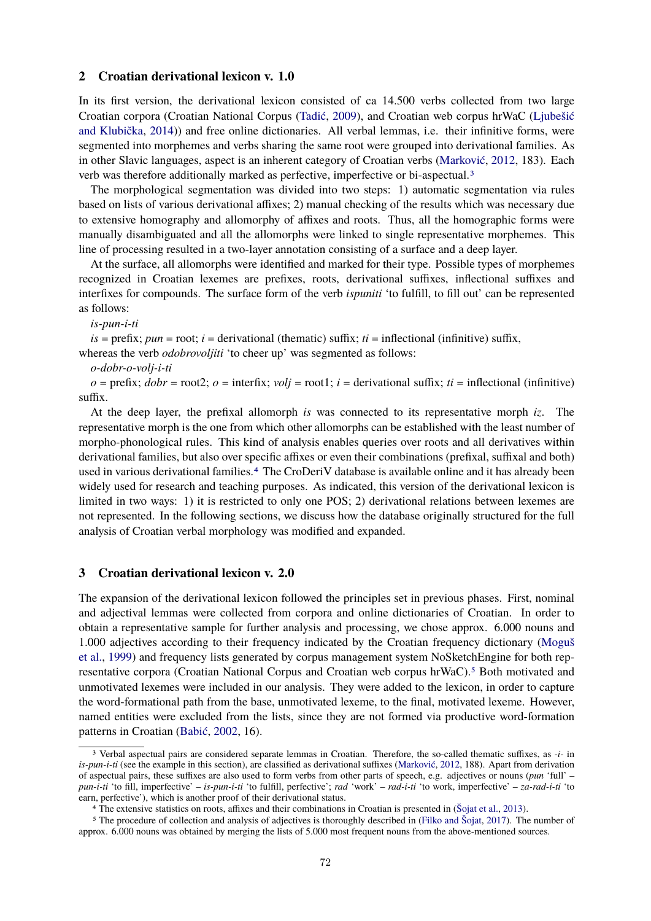#### **2 Croatian derivational lexicon v. 1.0**

In its first version, the derivational lexicon consisted of ca 14.500 verbs collected from two large Croatian corpora (Croatian National Corpus [\(Tadić,](#page-8-7) [2009\)](#page-8-7), and Croatian web corpus hrWaC [\(Ljubešić](#page-8-8) [and Klubička,](#page-8-8) [2014\)](#page-8-8)) and free online dictionaries. All verbal lemmas, i.e. their infinitive forms, were segmented into morphemes and verbs sharing the same root were grouped into derivational families. As in other Slavic languages, aspect is an inherent category of Croatian verbs [\(Marković,](#page-8-9) [2012,](#page-8-9) 183). Each verb was therefore additionally marked as perfective, imperfective or bi-aspectual.[3](#page-1-0)

The morphological segmentation was divided into two steps: 1) automatic segmentation via rules based on lists of various derivational affixes; 2) manual checking of the results which was necessary due to extensive homography and allomorphy of affixes and roots. Thus, all the homographic forms were manually disambiguated and all the allomorphs were linked to single representative morphemes. This line of processing resulted in a two-layer annotation consisting of a surface and a deep layer.

At the surface, all allomorphs were identified and marked for their type. Possible types of morphemes recognized in Croatian lexemes are prefixes, roots, derivational suffixes, inflectional suffixes and interfixes for compounds. The surface form of the verb *ispuniti* 'to fulfill, to fill out' can be represented as follows:

*is-pun-i-ti*

 $is = \text{prefix}; \, \text{pun} = \text{root}; \, i = \text{derivational}$  (thematic) suffix;  $ti = \text{inflectional}$  (infinitive) suffix, whereas the verb *odobrovoljiti* 'to cheer up' was segmented as follows:

*o-dobr-o-volj-i-ti*

 $o = \text{prefix}; \, dobr = \text{root2}; \, o = \text{interfix}; \, volj = \text{root1}; \, i = \text{derivational suffix}; \, ti = \text{inflectional} \, \text{(infinitive)}$ suffix.

At the deep layer, the prefixal allomorph *is* was connected to its representative morph *iz*. The representative morph is the one from which other allomorphs can be established with the least number of morpho-phonological rules. This kind of analysis enables queries over roots and all derivatives within derivational families, but also over specific affixes or even their combinations (prefixal, suffixal and both) used in various derivational families.[4](#page-1-1) The CroDeriV database is available online and it has already been widely used for research and teaching purposes. As indicated, this version of the derivational lexicon is limited in two ways: 1) it is restricted to only one POS; 2) derivational relations between lexemes are not represented. In the following sections, we discuss how the database originally structured for the full analysis of Croatian verbal morphology was modified and expanded.

# **3 Croatian derivational lexicon v. 2.0**

The expansion of the derivational lexicon followed the principles set in previous phases. First, nominal and adjectival lemmas were collected from corpora and online dictionaries of Croatian. In order to obtain a representative sample for further analysis and processing, we chose approx. 6.000 nouns and 1.000 adjectives according to their frequency indicated by the Croatian frequency dictionary [\(Moguš](#page-8-10) [et al.,](#page-8-10) [1999\)](#page-8-10) and frequency lists generated by corpus management system NoSketchEngine for both representative corpora (Croatian National Corpus and Croatian web corpus hrWaC).[5](#page-1-2) Both motivated and unmotivated lexemes were included in our analysis. They were added to the lexicon, in order to capture the word-formational path from the base, unmotivated lexeme, to the final, motivated lexeme. However, named entities were excluded from the lists, since they are not formed via productive word-formation patterns in Croatian [\(Babić,](#page-8-11) [2002,](#page-8-11) 16).

<span id="page-1-0"></span><sup>3</sup> Verbal aspectual pairs are considered separate lemmas in Croatian. Therefore, the so-called thematic suffixes, as *-i-* in *is-pun-i-ti* (see the example in this section), are classified as derivational suffixes [\(Marković,](#page-8-9) [2012,](#page-8-9) 188). Apart from derivation of aspectual pairs, these suffixes are also used to form verbs from other parts of speech, e.g. adjectives or nouns (*pun* 'full' – *pun-i-ti* 'to fill, imperfective' – *is-pun-i-ti* 'to fulfill, perfective'; *rad* 'work' – *rad-i-ti* 'to work, imperfective' – *za-rad-i-ti* 'to earn, perfective'), which is another proof of their derivational status.

<span id="page-1-2"></span><span id="page-1-1"></span><sup>4</sup> The extensive statistics on roots, affixes and their combinations in Croatian is presented in [\(Šojat et al.,](#page-9-4) [2013\)](#page-9-4).

<sup>5</sup> The procedure of collection and analysis of adjectives is thoroughly described in [\(Filko and Šojat,](#page-8-12) [2017\)](#page-8-12). The number of approx. 6.000 nouns was obtained by merging the lists of 5.000 most frequent nouns from the above-mentioned sources.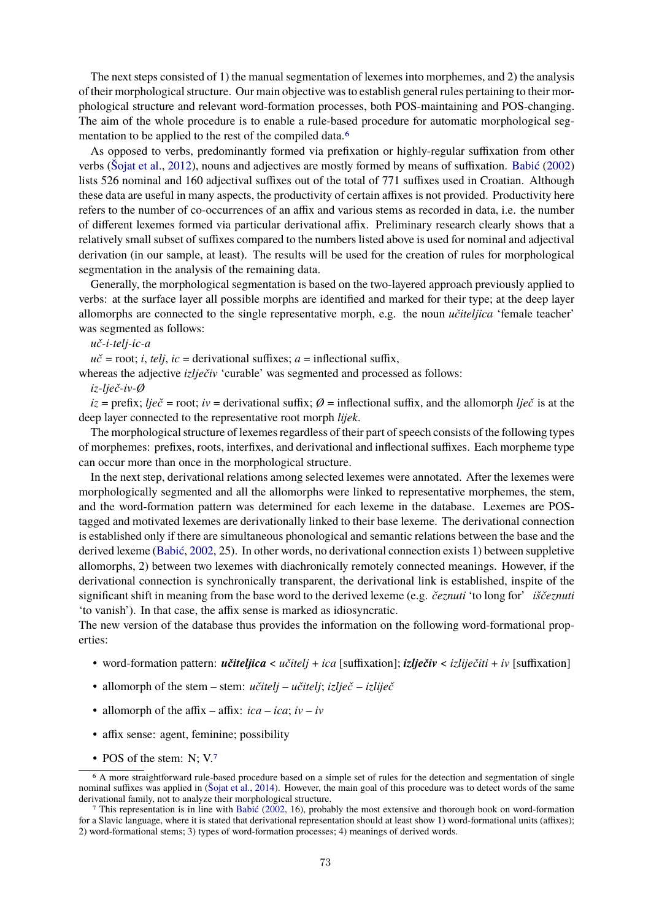The next steps consisted of 1) the manual segmentation of lexemes into morphemes, and 2) the analysis of their morphological structure. Our main objective was to establish general rules pertaining to their morphological structure and relevant word-formation processes, both POS-maintaining and POS-changing. The aim of the whole procedure is to enable a rule-based procedure for automatic morphological segmentation to be applied to the rest of the compiled data.[6](#page-2-0)

As opposed to verbs, predominantly formed via prefixation or highly-regular suffixation from other verbs [\(Šojat et al.,](#page-9-5) [2012\)](#page-9-5), nouns and adjectives are mostly formed by means of suffixation. [Babić](#page-8-11) [\(2002\)](#page-8-11) lists 526 nominal and 160 adjectival suffixes out of the total of 771 suffixes used in Croatian. Although these data are useful in many aspects, the productivity of certain affixes is not provided. Productivity here refers to the number of co-occurrences of an affix and various stems as recorded in data, i.e. the number of different lexemes formed via particular derivational affix. Preliminary research clearly shows that a relatively small subset of suffixes compared to the numbers listed above is used for nominal and adjectival derivation (in our sample, at least). The results will be used for the creation of rules for morphological segmentation in the analysis of the remaining data.

Generally, the morphological segmentation is based on the two-layered approach previously applied to verbs: at the surface layer all possible morphs are identified and marked for their type; at the deep layer allomorphs are connected to the single representative morph, e.g. the noun *učiteljica* 'female teacher' was segmented as follows:

*uč-i-telj-ic-a*

 $u\check{c}$  = root; *i*, *telj*, *ic* = derivational suffixes; *a* = inflectional suffix,

whereas the adjective *izlječiv* 'curable' was segmented and processed as follows:

*iz-lječ-iv-Ø*

 $iz = \text{prefix};$   $lie\check{c} = \text{root};$   $iv = \text{derivational suffix};$   $\emptyset = \text{inflectional suffix},$  and the allomorph  $lie\check{c}$  is at the deep layer connected to the representative root morph *lijek*.

The morphological structure of lexemes regardless of their part of speech consists of the following types of morphemes: prefixes, roots, interfixes, and derivational and inflectional suffixes. Each morpheme type can occur more than once in the morphological structure.

In the next step, derivational relations among selected lexemes were annotated. After the lexemes were morphologically segmented and all the allomorphs were linked to representative morphemes, the stem, and the word-formation pattern was determined for each lexeme in the database. Lexemes are POStagged and motivated lexemes are derivationally linked to their base lexeme. The derivational connection is established only if there are simultaneous phonological and semantic relations between the base and the derived lexeme [\(Babić,](#page-8-11) [2002,](#page-8-11) 25). In other words, no derivational connection exists 1) between suppletive allomorphs, 2) between two lexemes with diachronically remotely connected meanings. However, if the derivational connection is synchronically transparent, the derivational link is established, inspite of the significant shift in meaning from the base word to the derived lexeme (e.g. *čeznuti* 'to long for' *iščeznuti* 'to vanish'). In that case, the affix sense is marked as idiosyncratic.

The new version of the database thus provides the information on the following word-formational properties:

- word-formation pattern: *učiteljica* < *učitelj* + *ica* [suffixation]; *izlječiv* < *izliječiti* + *iv* [suffixation]
- allomorph of the stem stem: *učitelj učitelj*; *izlječ izliječ*
- allomorph of the affix affix:  $ica ica$ ;  $iv iv$
- affix sense: agent, feminine; possibility
- <span id="page-2-0"></span>• POS of the stem: N; V.[7](#page-2-1)

<sup>6</sup> A more straightforward rule-based procedure based on a simple set of rules for the detection and segmentation of single nominal suffixes was applied in [\(Šojat et al.,](#page-9-6) [2014\)](#page-9-6). However, the main goal of this procedure was to detect words of the same derivational family, not to analyze their morphological structure.

<span id="page-2-1"></span><sup>7</sup> This representation is in line with [Babić](#page-8-11) [\(2002,](#page-8-11) 16), probably the most extensive and thorough book on word-formation for a Slavic language, where it is stated that derivational representation should at least show 1) word-formational units (affixes); 2) word-formational stems; 3) types of word-formation processes; 4) meanings of derived words.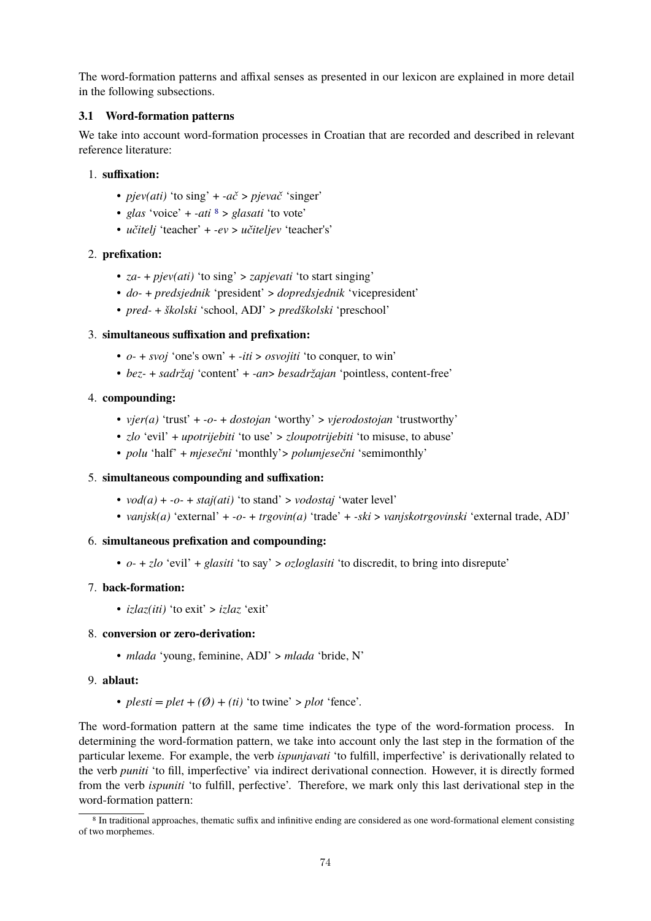The word-formation patterns and affixal senses as presented in our lexicon are explained in more detail in the following subsections.

### **3.1 Word-formation patterns**

We take into account word-formation processes in Croatian that are recorded and described in relevant reference literature:

### 1. **suffixation:**

- *pjev(ati)* 'to sing' + *-ač* > *pjevač* 'singer'
- *glas* 'voice' + *-ati* [8](#page-3-0) > *glasati* 'to vote'
- *učitelj* 'teacher' + *-ev* > *učiteljev* 'teacher's'

# 2. **prefixation:**

- *za-* + *pjev(ati)* 'to sing' > *zapjevati* 'to start singing'
- *do-* + *predsjednik* 'president' > *dopredsjednik* 'vicepresident'
- *pred-* + *školski* 'school, ADJ' > *predškolski* 'preschool'

# 3. **simultaneous suffixation and prefixation:**

- *o-* + *svoj* 'one's own' + *-iti* > *osvojiti* 'to conquer, to win'
- *bez-* + *sadržaj* 'content' + *-an*> *besadržajan* 'pointless, content-free'

# 4. **compounding:**

- *vjer(a)* 'trust' + *-o-* + *dostojan* 'worthy' > *vjerodostojan* 'trustworthy'
- *zlo* 'evil' + *upotrijebiti* 'to use' > *zloupotrijebiti* 'to misuse, to abuse'
- *polu* 'half' + *mjesečni* 'monthly'> *polumjesečni* 'semimonthly'

### 5. **simultaneous compounding and suffixation:**

- *vod(a)* + *-o-* + *staj(ati)* 'to stand' > *vodostaj* 'water level'
- *vanjsk(a)* 'external' + *-o-* + *trgovin(a)* 'trade' + *-ski* > *vanjskotrgovinski* 'external trade, ADJ'

### 6. **simultaneous prefixation and compounding:**

• *o-* + *zlo* 'evil' + *glasiti* 'to say' > *ozloglasiti* 'to discredit, to bring into disrepute'

### 7. **back-formation:**

• *izlaz(iti)* 'to exit' > *izlaz* 'exit'

# 8. **conversion or zero-derivation:**

• *mlada* 'young, feminine, ADJ' > *mlada* 'bride, N'

### 9. **ablaut:**

•  $plesti = plet + (\emptyset) + (ti)$  'to twine' >  $plot$  'fence'.

The word-formation pattern at the same time indicates the type of the word-formation process. In determining the word-formation pattern, we take into account only the last step in the formation of the particular lexeme. For example, the verb *ispunjavati* 'to fulfill, imperfective' is derivationally related to the verb *puniti* 'to fill, imperfective' via indirect derivational connection. However, it is directly formed from the verb *ispuniti* 'to fulfill, perfective'. Therefore, we mark only this last derivational step in the word-formation pattern:

<span id="page-3-0"></span><sup>8</sup> In traditional approaches, thematic suffix and infinitive ending are considered as one word-formational element consisting of two morphemes.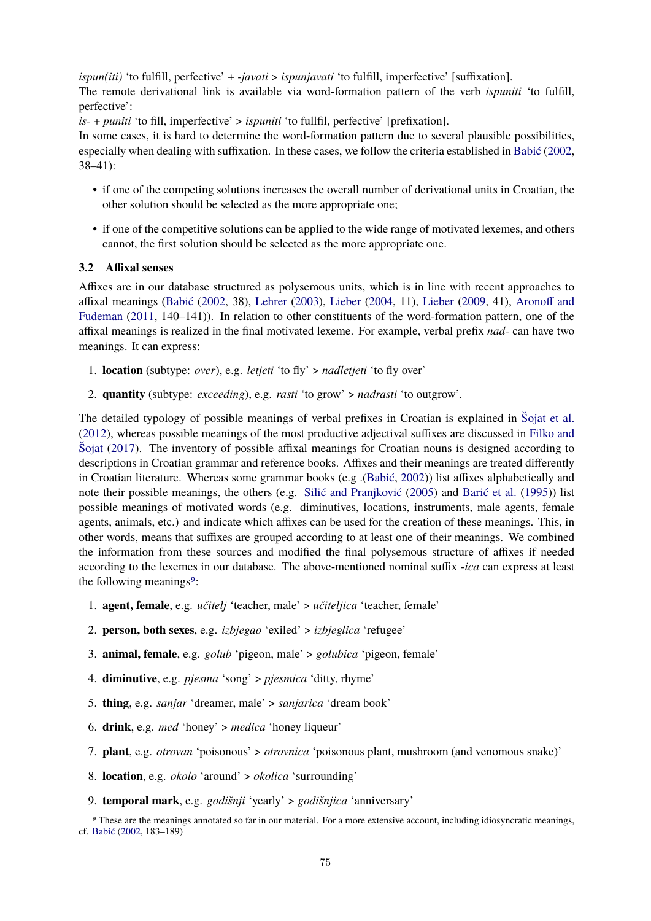*ispun(iti)* 'to fulfill, perfective' + *-javati* > *ispunjavati* 'to fulfill, imperfective' [suffixation]. The remote derivational link is available via word-formation pattern of the verb *ispuniti* 'to fulfill, perfective':

*is-* + *puniti* 'to fill, imperfective' > *ispuniti* 'to fullfil, perfective' [prefixation].

In some cases, it is hard to determine the word-formation pattern due to several plausible possibilities, especially when dealing with suffixation. In these cases, we follow the criteria established in [Babić](#page-8-11) [\(2002,](#page-8-11) 38–41):

- if one of the competing solutions increases the overall number of derivational units in Croatian, the other solution should be selected as the more appropriate one;
- if one of the competitive solutions can be applied to the wide range of motivated lexemes, and others cannot, the first solution should be selected as the more appropriate one.

#### **3.2 Affixal senses**

Affixes are in our database structured as polysemous units, which is in line with recent approaches to affixal meanings [\(Babić](#page-8-11) [\(2002,](#page-8-11) 38), [Lehrer](#page-8-13) [\(2003\)](#page-8-13), [Lieber](#page-8-14) [\(2004,](#page-8-14) 11), [Lieber](#page-8-15) [\(2009,](#page-8-15) 41), [Aronoff and](#page-8-16) [Fudeman](#page-8-16) [\(2011,](#page-8-16) 140–141)). In relation to other constituents of the word-formation pattern, one of the affixal meanings is realized in the final motivated lexeme. For example, verbal prefix *nad*- can have two meanings. It can express:

- 1. **location** (subtype: *over*), e.g. *letjeti* 'to fly' > *nadletjeti* 'to fly over'
- 2. **quantity** (subtype: *exceeding*), e.g. *rasti* 'to grow' > *nadrasti* 'to outgrow'.

The detailed typology of possible meanings of verbal prefixes in Croatian is explained in [Šojat et al.](#page-9-5) [\(2012\)](#page-9-5), whereas possible meanings of the most productive adjectival suffixes are discussed in [Filko and](#page-8-12) [Šojat](#page-8-12) [\(2017\)](#page-8-12). The inventory of possible affixal meanings for Croatian nouns is designed according to descriptions in Croatian grammar and reference books. Affixes and their meanings are treated differently in Croatian literature. Whereas some grammar books (e.g .[\(Babić,](#page-8-11) [2002\)](#page-8-11)) list affixes alphabetically and note their possible meanings, the others (e.g. [Silić and Pranjković](#page-8-17) [\(2005\)](#page-8-17) and [Barić et al.](#page-8-18) [\(1995\)](#page-8-18)) list possible meanings of motivated words (e.g. diminutives, locations, instruments, male agents, female agents, animals, etc.) and indicate which affixes can be used for the creation of these meanings. This, in other words, means that suffixes are grouped according to at least one of their meanings. We combined the information from these sources and modified the final polysemous structure of affixes if needed according to the lexemes in our database. The above-mentioned nominal suffix *-ica* can express at least the following meanings<sup>[9](#page-4-0)</sup>:

- 1. **agent, female**, e.g. *učitelj* 'teacher, male' > *učiteljica* 'teacher, female'
- 2. **person, both sexes**, e.g. *izbjegao* 'exiled' > *izbjeglica* 'refugee'
- 3. **animal, female**, e.g. *golub* 'pigeon, male' > *golubica* 'pigeon, female'
- 4. **diminutive**, e.g. *pjesma* 'song' > *pjesmica* 'ditty, rhyme'
- 5. **thing**, e.g. *sanjar* 'dreamer, male' > *sanjarica* 'dream book'
- 6. **drink**, e.g. *med* 'honey' > *medica* 'honey liqueur'
- 7. **plant**, e.g. *otrovan* 'poisonous' > *otrovnica* 'poisonous plant, mushroom (and venomous snake)'
- 8. **location**, e.g. *okolo* 'around' > *okolica* 'surrounding'
- 9. **temporal mark**, e.g. *godišnji* 'yearly' > *godišnjica* 'anniversary'

<span id="page-4-0"></span><sup>9</sup> These are the meanings annotated so far in our material. For a more extensive account, including idiosyncratic meanings, cf. [Babić](#page-8-11) [\(2002,](#page-8-11) 183–189)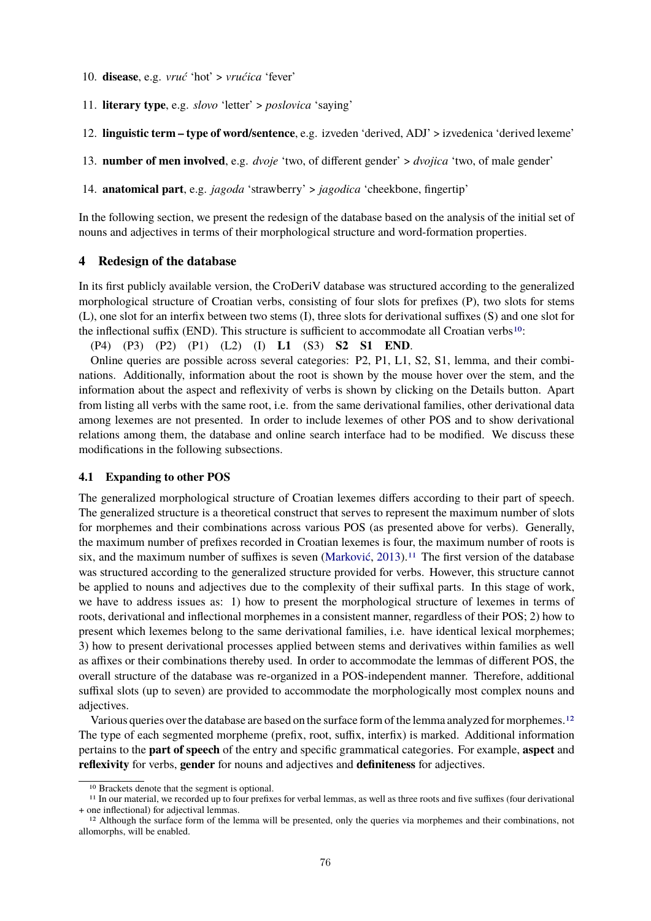- 10. **disease**, e.g. *vruć* 'hot' > *vrućica* 'fever'
- 11. **literary type**, e.g. *slovo* 'letter' > *poslovica* 'saying'
- 12. **linguistic term type of word/sentence**, e.g. izveden 'derived, ADJ' > izvedenica 'derived lexeme'
- 13. **number of men involved**, e.g. *dvoje* 'two, of different gender' > *dvojica* 'two, of male gender'
- 14. **anatomical part**, e.g. *jagoda* 'strawberry' > *jagodica* 'cheekbone, fingertip'

In the following section, we present the redesign of the database based on the analysis of the initial set of nouns and adjectives in terms of their morphological structure and word-formation properties.

#### **4 Redesign of the database**

In its first publicly available version, the CroDeriV database was structured according to the generalized morphological structure of Croatian verbs, consisting of four slots for prefixes (P), two slots for stems (L), one slot for an interfix between two stems (I), three slots for derivational suffixes (S) and one slot for the inflectional suffix (END). This structure is sufficient to accommodate all Croatian verbs[10](#page-5-0):

```
(P4) (P3) (P2) (P1) (L2) (I) L1 (S3) S2 S1 END.
```
Online queries are possible across several categories: P2, P1, L1, S2, S1, lemma, and their combinations. Additionally, information about the root is shown by the mouse hover over the stem, and the information about the aspect and reflexivity of verbs is shown by clicking on the Details button. Apart from listing all verbs with the same root, i.e. from the same derivational families, other derivational data among lexemes are not presented. In order to include lexemes of other POS and to show derivational relations among them, the database and online search interface had to be modified. We discuss these modifications in the following subsections.

#### **4.1 Expanding to other POS**

The generalized morphological structure of Croatian lexemes differs according to their part of speech. The generalized structure is a theoretical construct that serves to represent the maximum number of slots for morphemes and their combinations across various POS (as presented above for verbs). Generally, the maximum number of prefixes recorded in Croatian lexemes is four, the maximum number of roots is six, and the maximum number of suffixes is seven [\(Marković,](#page-8-19) [2013\)](#page-8-19).<sup>[11](#page-5-1)</sup> The first version of the database was structured according to the generalized structure provided for verbs. However, this structure cannot be applied to nouns and adjectives due to the complexity of their suffixal parts. In this stage of work, we have to address issues as: 1) how to present the morphological structure of lexemes in terms of roots, derivational and inflectional morphemes in a consistent manner, regardless of their POS; 2) how to present which lexemes belong to the same derivational families, i.e. have identical lexical morphemes; 3) how to present derivational processes applied between stems and derivatives within families as well as affixes or their combinations thereby used. In order to accommodate the lemmas of different POS, the overall structure of the database was re-organized in a POS-independent manner. Therefore, additional suffixal slots (up to seven) are provided to accommodate the morphologically most complex nouns and adjectives.

Various queries over the database are based on the surface form of the lemma analyzed for morphemes.<sup>[12](#page-5-2)</sup> The type of each segmented morpheme (prefix, root, suffix, interfix) is marked. Additional information pertains to the **part of speech** of the entry and specific grammatical categories. For example, **aspect** and **reflexivity** for verbs, **gender** for nouns and adjectives and **definiteness** for adjectives.

<span id="page-5-1"></span><span id="page-5-0"></span><sup>10</sup> Brackets denote that the segment is optional.

<sup>11</sup> In our material, we recorded up to four prefixes for verbal lemmas, as well as three roots and five suffixes (four derivational + one inflectional) for adjectival lemmas.

<span id="page-5-2"></span><sup>&</sup>lt;sup>12</sup> Although the surface form of the lemma will be presented, only the queries via morphemes and their combinations, not allomorphs, will be enabled.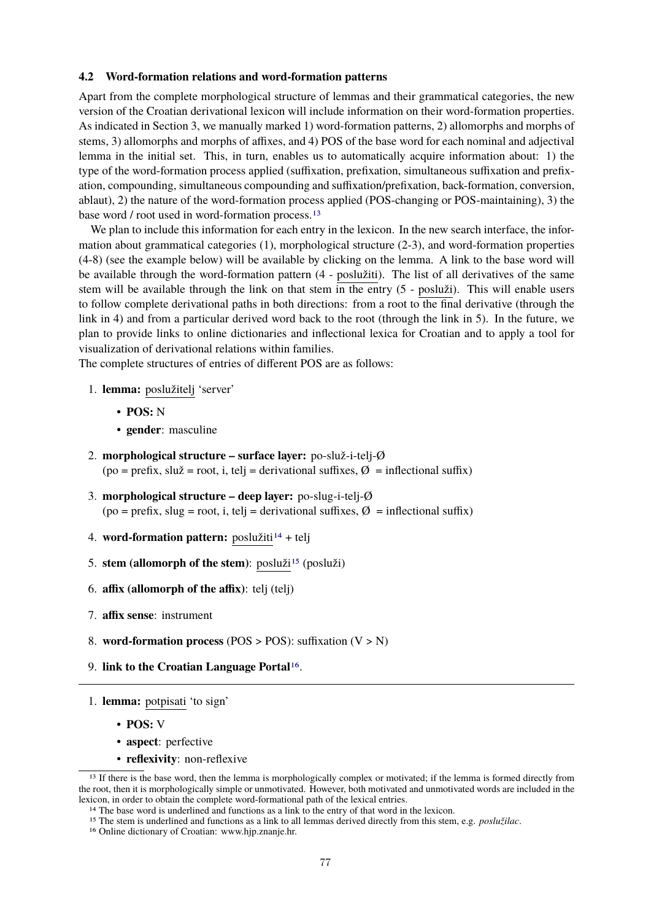#### **4.2 Word-formation relations and word-formation patterns**

Apart from the complete morphological structure of lemmas and their grammatical categories, the new version of the Croatian derivational lexicon will include information on their word-formation properties. As indicated in Section 3, we manually marked 1) word-formation patterns, 2) allomorphs and morphs of stems, 3) allomorphs and morphs of affixes, and 4) POS of the base word for each nominal and adjectival lemma in the initial set. This, in turn, enables us to automatically acquire information about: 1) the type of the word-formation process applied (suffixation, prefixation, simultaneous suffixation and prefixation, compounding, simultaneous compounding and suffixation/prefixation, back-formation, conversion, ablaut), 2) the nature of the word-formation process applied (POS-changing or POS-maintaining), 3) the base word / root used in word-formation process.[13](#page-6-0)

We plan to include this information for each entry in the lexicon. In the new search interface, the information about grammatical categories (1), morphological structure (2-3), and word-formation properties (4-8) (see the example below) will be available by clicking on the lemma. A link to the base word will be available through the word-formation pattern (4 - poslužiti). The list of all derivatives of the same stem will be available through the link on that stem in the entry (5 - posluži). This will enable users to follow complete derivational paths in both directions: from a root to the final derivative (through the link in 4) and from a particular derived word back to the root (through the link in 5). In the future, we plan to provide links to online dictionaries and inflectional lexica for Croatian and to apply a tool for visualization of derivational relations within families.

The complete structures of entries of different POS are as follows:

- 1. **lemma:** poslužitelj 'server'
	- **POS:** N
	- **gender**: masculine
- 2. **morphological structure surface layer:** po-služ-i-telj-Ø (po = prefix, služ = root, i, telj = derivational suffixes, Ø = inflectional suffix)
- 3. **morphological structure deep layer:** po-slug-i-telj-Ø  $(po = prefix, slug = root, i, telj = derivational suffixes, Ø = inflectional suffix)$
- 4. **word-formation pattern:** poslužiti<sup>[14](#page-6-1)</sup> + telj
- 5. **stem (allomorph of the stem)**: posluži<sup>[15](#page-6-2)</sup> (posluži)
- 6. **affix (allomorph of the affix)**: telj (telj)
- 7. **affix sense**: instrument
- 8. **word-formation process** (POS > POS): suffixation (V > N)
- 9. **link to the Croatian Language Portal**[16](#page-6-3).
- 1. **lemma:** potpisati 'to sign'
	- **POS:** V
	- **aspect**: perfective
	- **reflexivity**: non-reflexive

<span id="page-6-0"></span><sup>&</sup>lt;sup>13</sup> If there is the base word, then the lemma is morphologically complex or motivated; if the lemma is formed directly from the root, then it is morphologically simple or unmotivated. However, both motivated and unmotivated words are included in the lexicon, in order to obtain the complete word-formational path of the lexical entries.

<span id="page-6-1"></span><sup>&</sup>lt;sup>14</sup> The base word is underlined and functions as a link to the entry of that word in the lexicon.

<span id="page-6-2"></span><sup>15</sup> The stem is underlined and functions as a link to all lemmas derived directly from this stem, e.g. *poslužilac*.

<span id="page-6-3"></span><sup>16</sup> Online dictionary of Croatian: www.hjp.znanje.hr.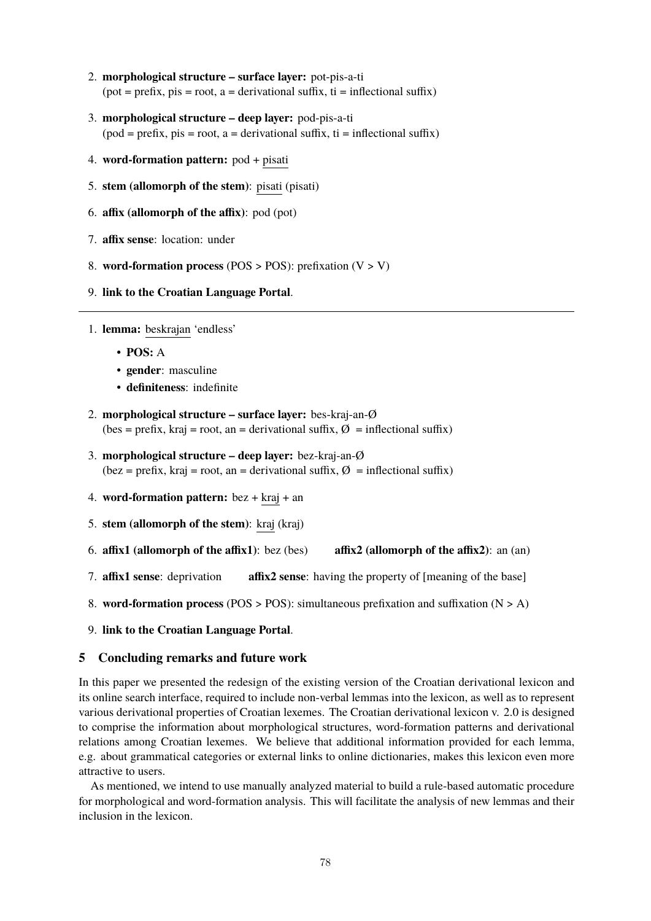- 2. **morphological structure surface layer:** pot-pis-a-ti  $(pot = prefix, \text{pis} = root, a = derivational suffix, \text{ ti} = inflectional suffix)$
- 3. **morphological structure deep layer:** pod-pis-a-ti  $(pod = prefix, pis = root, a = derivational suffix, ti = inflectional suffix)$
- 4. **word-formation pattern:** pod + pisati
- 5. **stem (allomorph of the stem)**: pisati (pisati)
- 6. **affix (allomorph of the affix)**: pod (pot)
- 7. **affix sense**: location: under
- 8. **word-formation process** (POS > POS): prefixation (V > V)
- 9. **link to the Croatian Language Portal**.
- 1. **lemma:** beskrajan 'endless'
	- **POS:** A
	- **gender**: masculine
	- **definiteness**: indefinite
- 2. **morphological structure surface layer:** bes-kraj-an-Ø (bes = prefix, kraj = root, an = derivational suffix,  $\varnothing$  = inflectional suffix)
- 3. **morphological structure deep layer:** bez-kraj-an-Ø (bez = prefix, kraj = root, an = derivational suffix,  $\emptyset$  = inflectional suffix)
- 4. **word-formation pattern:** bez + kraj + an
- 5. **stem (allomorph of the stem)**: kraj (kraj)
- 6. **affix1 (allomorph of the affix1)**: bez (bes) **affix2 (allomorph of the affix2)**: an (an)
- 7. **affix1 sense**: deprivation **affix2 sense**: having the property of [meaning of the base]
- 8. **word-formation process** (POS > POS): simultaneous prefixation and suffixation (N > A)
- 9. **link to the Croatian Language Portal**.

### **5 Concluding remarks and future work**

In this paper we presented the redesign of the existing version of the Croatian derivational lexicon and its online search interface, required to include non-verbal lemmas into the lexicon, as well as to represent various derivational properties of Croatian lexemes. The Croatian derivational lexicon v. 2.0 is designed to comprise the information about morphological structures, word-formation patterns and derivational relations among Croatian lexemes. We believe that additional information provided for each lemma, e.g. about grammatical categories or external links to online dictionaries, makes this lexicon even more attractive to users.

As mentioned, we intend to use manually analyzed material to build a rule-based automatic procedure for morphological and word-formation analysis. This will facilitate the analysis of new lemmas and their inclusion in the lexicon.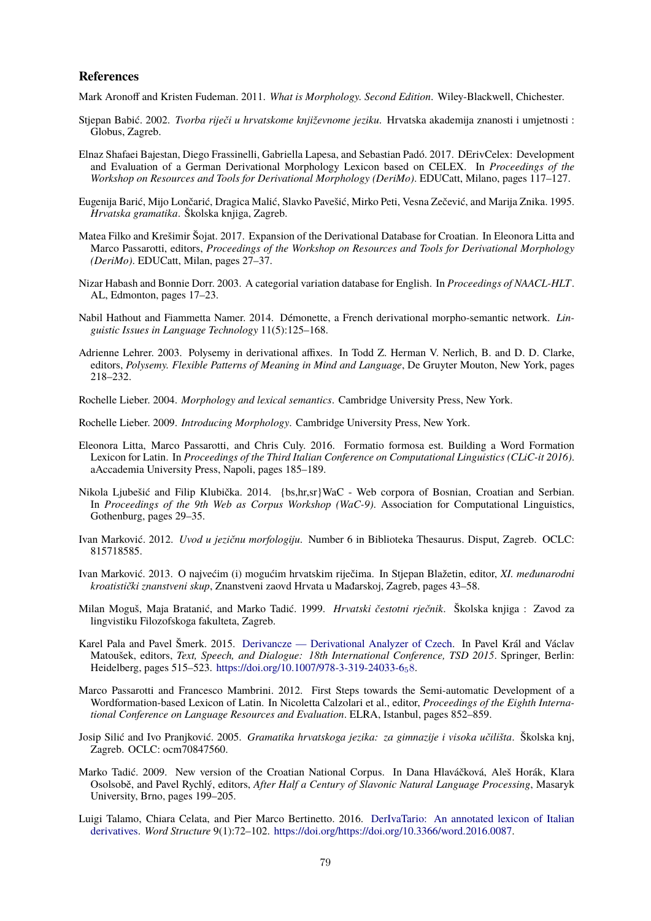#### **References**

<span id="page-8-16"></span>Mark Aronoff and Kristen Fudeman. 2011. *What is Morphology. Second Edition*. Wiley-Blackwell, Chichester.

- <span id="page-8-11"></span>Stjepan Babić. 2002. *Tvorba riječi u hrvatskome književnome jeziku*. Hrvatska akademija znanosti i umjetnosti : Globus, Zagreb.
- <span id="page-8-6"></span>Elnaz Shafaei Bajestan, Diego Frassinelli, Gabriella Lapesa, and Sebastian Padó. 2017. DErivCelex: Development and Evaluation of a German Derivational Morphology Lexicon based on CELEX. In *Proceedings of the Workshop on Resources and Tools for Derivational Morphology (DeriMo)*. EDUCatt, Milano, pages 117–127.
- <span id="page-8-18"></span>Eugenija Barić, Mijo Lončarić, Dragica Malić, Slavko Pavešić, Mirko Peti, Vesna Zečević, and Marija Znika. 1995. *Hrvatska gramatika*. Školska knjiga, Zagreb.
- <span id="page-8-12"></span>Matea Filko and Krešimir Šojat. 2017. Expansion of the Derivational Database for Croatian. In Eleonora Litta and Marco Passarotti, editors, *Proceedings of the Workshop on Resources and Tools for Derivational Morphology (DeriMo)*. EDUCatt, Milan, pages 27–37.
- <span id="page-8-0"></span>Nizar Habash and Bonnie Dorr. 2003. A categorial variation database for English. In *Proceedings of NAACL-HLT*. AL, Edmonton, pages 17–23.
- <span id="page-8-1"></span>Nabil Hathout and Fiammetta Namer. 2014. Démonette, a French derivational morpho-semantic network. *Linguistic Issues in Language Technology* 11(5):125–168.
- <span id="page-8-13"></span>Adrienne Lehrer. 2003. Polysemy in derivational affixes. In Todd Z. Herman V. Nerlich, B. and D. D. Clarke, editors, *Polysemy. Flexible Patterns of Meaning in Mind and Language*, De Gruyter Mouton, New York, pages 218–232.
- <span id="page-8-14"></span>Rochelle Lieber. 2004. *Morphology and lexical semantics*. Cambridge University Press, New York.
- <span id="page-8-15"></span>Rochelle Lieber. 2009. *Introducing Morphology*. Cambridge University Press, New York.
- <span id="page-8-4"></span>Eleonora Litta, Marco Passarotti, and Chris Culy. 2016. Formatio formosa est. Building a Word Formation Lexicon for Latin. In *Proceedings of the Third Italian Conference on Computational Linguistics (CLiC-it 2016)*. aAccademia University Press, Napoli, pages 185–189.
- <span id="page-8-8"></span>Nikola Ljubešić and Filip Klubička. 2014. {bs,hr,sr}WaC - Web corpora of Bosnian, Croatian and Serbian. In *Proceedings of the 9th Web as Corpus Workshop (WaC-9)*. Association for Computational Linguistics, Gothenburg, pages 29–35.
- <span id="page-8-9"></span>Ivan Marković. 2012. *Uvod u jezičnu morfologiju*. Number 6 in Biblioteka Thesaurus. Disput, Zagreb. OCLC: 815718585.
- <span id="page-8-19"></span>Ivan Marković. 2013. O najvećim (i) mogućim hrvatskim riječima. In Stjepan Blažetin, editor, *XI. međunarodni kroatistički znanstveni skup*, Znanstveni zaovd Hrvata u Mađarskoj, Zagreb, pages 43–58.
- <span id="page-8-10"></span>Milan Moguš, Maja Bratanić, and Marko Tadić. 1999. *Hrvatski čestotni rječnik*. Školska knjiga : Zavod za lingvistiku Filozofskoga fakulteta, Zagreb.
- <span id="page-8-2"></span>Karel Pala and Pavel Šmerk. 2015. [Derivancze — Derivational Analyzer of Czech.](https://doi.org/10.1007/978-3-319-24033-6_58) In Pavel Král and Václav Matoušek, editors, *Text, Speech, and Dialogue: 18th International Conference, TSD 2015*. Springer, Berlin: Heidelberg, pages 515–523. [https://doi.org/10.1007/978-3-319-24033-6](https://doi.org/10.1007/978-3-319-24033-6_58)<sub>5</sub>8.
- <span id="page-8-3"></span>Marco Passarotti and Francesco Mambrini. 2012. First Steps towards the Semi-automatic Development of a Wordformation-based Lexicon of Latin. In Nicoletta Calzolari et al., editor, *Proceedings of the Eighth International Conference on Language Resources and Evaluation*. ELRA, Istanbul, pages 852–859.
- <span id="page-8-17"></span>Josip Silić and Ivo Pranjković. 2005. *Gramatika hrvatskoga jezika: za gimnazije i visoka učilišta*. Školska knj, Zagreb. OCLC: ocm70847560.
- <span id="page-8-7"></span>Marko Tadić. 2009. New version of the Croatian National Corpus. In Dana Hlaváčková, Aleš Horák, Klara Osolsobě, and Pavel Rychlý, editors, *After Half a Century of Slavonic Natural Language Processing*, Masaryk University, Brno, pages 199–205.
- <span id="page-8-5"></span>Luigi Talamo, Chiara Celata, and Pier Marco Bertinetto. 2016. [DerIvaTario: An annotated lexicon of Italian](https://doi.org/https://doi.org/10.3366/word.2016.0087) [derivatives.](https://doi.org/https://doi.org/10.3366/word.2016.0087) *Word Structure* 9(1):72–102. [https://doi.org/https://doi.org/10.3366/word.2016.0087.](https://doi.org/https://doi.org/10.3366/word.2016.0087)